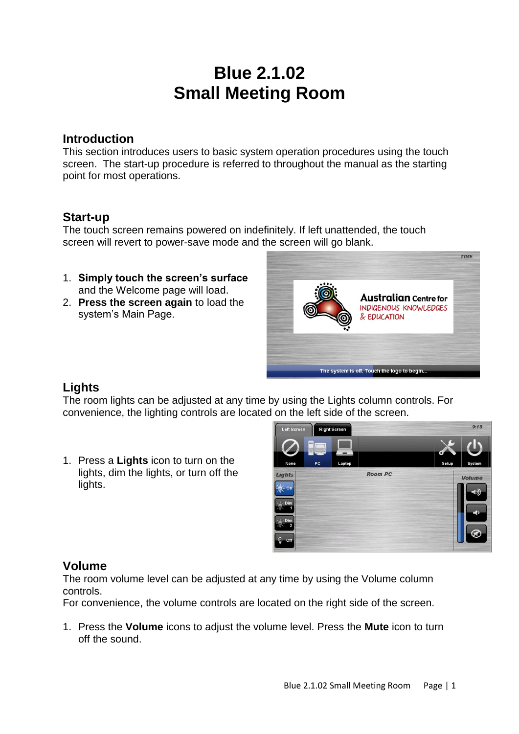# **Blue 2.1.02 Small Meeting Room**

### **Introduction**

This section introduces users to basic system operation procedures using the touch screen. The start-up procedure is referred to throughout the manual as the starting point for most operations.

## **Start-up**

The touch screen remains powered on indefinitely. If left unattended, the touch screen will revert to power-save mode and the screen will go blank.

- 1. **Simply touch the screen's surface**  and the Welcome page will load.
- 2. **Press the screen again** to load the system's Main Page.



# **Lights**

The room lights can be adjusted at any time by using the Lights column controls. For convenience, the lighting controls are located on the left side of the screen.

1. Press a **Lights** icon to turn on the lights, dim the lights, or turn off the lights.



## **Volume**

The room volume level can be adjusted at any time by using the Volume column controls.

For convenience, the volume controls are located on the right side of the screen.

1. Press the **Volume** icons to adjust the volume level. Press the **Mute** icon to turn off the sound.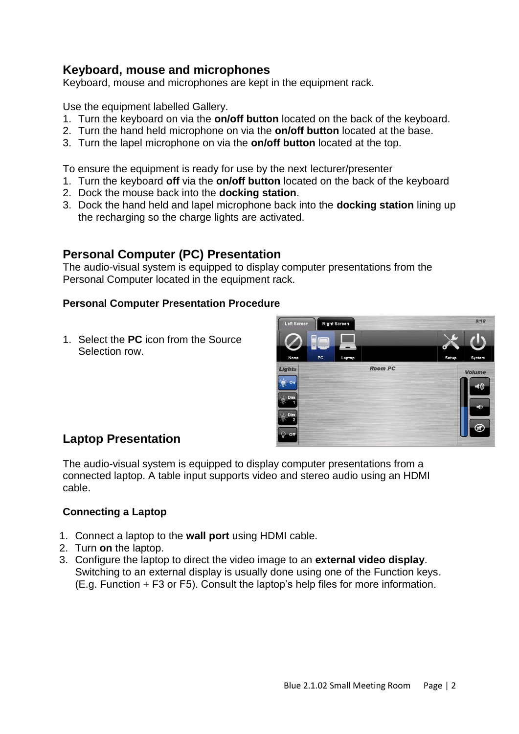# **Keyboard, mouse and microphones**

Keyboard, mouse and microphones are kept in the equipment rack.

Use the equipment labelled Gallery.

- 1. Turn the keyboard on via the **on/off button** located on the back of the keyboard.
- 2. Turn the hand held microphone on via the **on/off button** located at the base.
- 3. Turn the lapel microphone on via the **on/off button** located at the top.

To ensure the equipment is ready for use by the next lecturer/presenter

- 1. Turn the keyboard **off** via the **on/off button** located on the back of the keyboard
- 2. Dock the mouse back into the **docking station**.
- 3. Dock the hand held and lapel microphone back into the **docking station** lining up the recharging so the charge lights are activated.

## **Personal Computer (PC) Presentation**

The audio-visual system is equipped to display computer presentations from the Personal Computer located in the equipment rack.

#### **Personal Computer Presentation Procedure**

1. Select the **PC** icon from the Source Selection row.



# **Laptop Presentation**

The audio-visual system is equipped to display computer presentations from a connected laptop. A table input supports video and stereo audio using an HDMI cable.

#### **Connecting a Laptop**

- 1. Connect a laptop to the **wall port** using HDMI cable.
- 2. Turn **on** the laptop.
- 3. Configure the laptop to direct the video image to an **external video display**. Switching to an external display is usually done using one of the Function keys. (E.g. Function + F3 or F5). Consult the laptop's help files for more information.